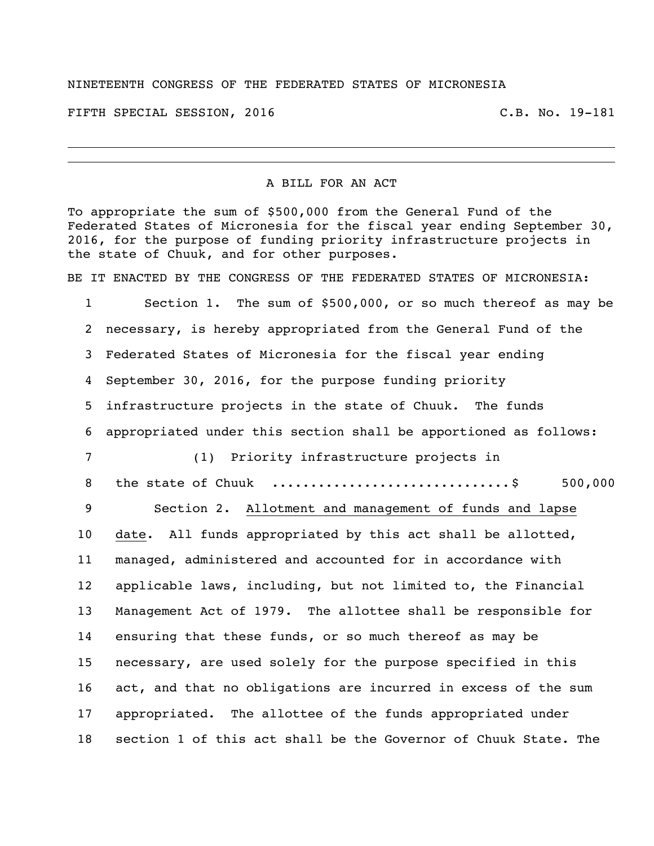## NINETEENTH CONGRESS OF THE FEDERATED STATES OF MICRONESIA

FIFTH SPECIAL SESSION, 2016 C.B. No. 19-181

## A BILL FOR AN ACT

To appropriate the sum of \$500,000 from the General Fund of the Federated States of Micronesia for the fiscal year ending September 30, 2016, for the purpose of funding priority infrastructure projects in the state of Chuuk, and for other purposes.

BE IT ENACTED BY THE CONGRESS OF THE FEDERATED STATES OF MICRONESIA:

 Section 1. The sum of \$500,000, or so much thereof as may be necessary, is hereby appropriated from the General Fund of the Federated States of Micronesia for the fiscal year ending September 30, 2016, for the purpose funding priority infrastructure projects in the state of Chuuk. The funds appropriated under this section shall be apportioned as follows: (1) Priority infrastructure projects in the state of Chuuk ...............................\$ 500,000 Section 2. Allotment and management of funds and lapse date. All funds appropriated by this act shall be allotted, managed, administered and accounted for in accordance with applicable laws, including, but not limited to, the Financial Management Act of 1979. The allottee shall be responsible for ensuring that these funds, or so much thereof as may be necessary, are used solely for the purpose specified in this act, and that no obligations are incurred in excess of the sum appropriated. The allottee of the funds appropriated under section 1 of this act shall be the Governor of Chuuk State. The